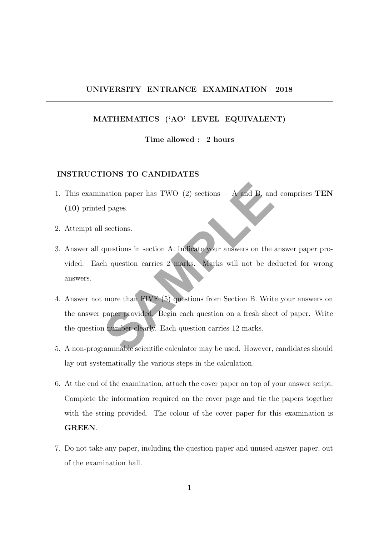## UNIVERSITY ENTRANCE EXAMINATION 2018

## MATHEMATICS ('AO' LEVEL EQUIVALENT)

## Time allowed : 2 hours

#### INSTRUCTIONS TO CANDIDATES

- 1. This examination paper has TWO (2) sections  $A$  and B, and comprises TEN (10) printed pages.
- 2. Attempt all sections.
- nation paper has TWO (2) sections A and B, and<br>d pages.<br>sections.<br>questions in section A. Indicate your answers on the<br>th question carries 2 marks. Marks will not be de<br>more than FIVE (5) questions from Section B. Writ<br>p 3. Answer all questions in section A. Indicate your answers on the answer paper provided. Each question carries 2 marks. Marks will not be deducted for wrong answers.
- 4. Answer not more than FIVE (5) questions from Section B. Write your answers on the answer paper provided. Begin each question on a fresh sheet of paper. Write the question number clearly. Each question carries 12 marks.
- 5. A non-programmable scientific calculator may be used. However, candidates should lay out systematically the various steps in the calculation.
- 6. At the end of the examination, attach the cover paper on top of your answer script. Complete the information required on the cover page and tie the papers together with the string provided. The colour of the cover paper for this examination is GREEN.
- 7. Do not take any paper, including the question paper and unused answer paper, out of the examination hall.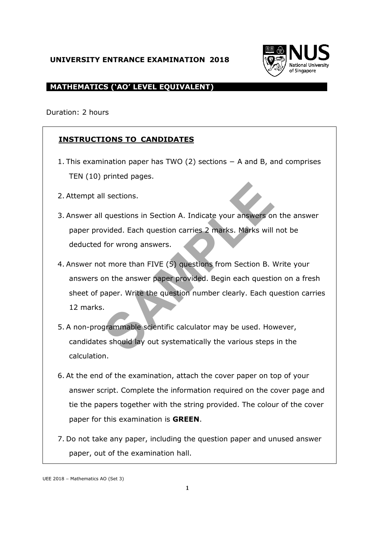## **UNIVERSITY ENTRANCE EXAMINATION 2018**



## **MATHEMATICS ('AO' LEVEL EQUIVALENT)**

Duration: 2 hours

# **INSTRUCTIONS TO CANDIDATES**

- 1. This examination paper has TWO (2) sections − A and B, and comprises TEN (10) printed pages.
- 2. Attempt all sections.
- 3. Answer all questions in Section A. Indicate your answers on the answer paper provided. Each question carries 2 marks. Marks will not be deducted for wrong answers.
- Il sections.<br>
I questions in Section A. Indicate your answers on<br>
bottled. Each question carries 2 marks. Marks will<br>
for wrong answers.<br>
the more than FIVE (5) questions from Section B. \<br>
bon the answer paper provided. B 4. Answer not more than FIVE (5) questions from Section B. Write your answers on the answer paper provided. Begin each question on a fresh sheet of paper. Write the question number clearly. Each question carries 12 marks.
- 5. A non-programmable scientific calculator may be used. However, candidates should lay out systematically the various steps in the calculation.
- 6. At the end of the examination, attach the cover paper on top of your answer script. Complete the information required on the cover page and tie the papers together with the string provided. The colour of the cover paper for this examination is **GREEN**.
- 7. Do not take any paper, including the question paper and unused answer paper, out of the examination hall.

UEE 2018 – Mathematics AO (Set 3)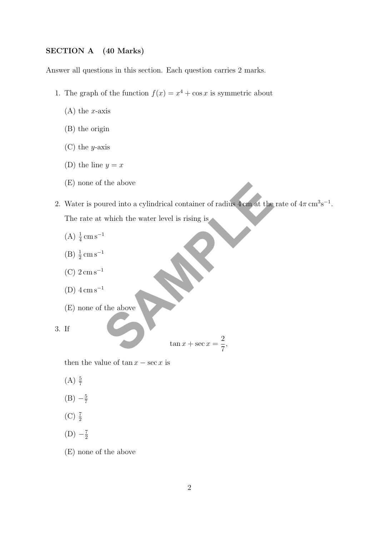## SECTION A (40 Marks)

Answer all questions in this section. Each question carries 2 marks.

- 1. The graph of the function  $f(x) = x^4 + \cos x$  is symmetric about
	- $(A)$  the *x*-axis
	- (B) the origin
	- $(C)$  the *y*-axis
	- (D) the line  $y = x$
	- (E) none of the above
- the above<br>ured into a cylindrical container of radius 4 cm at the<br>which the water level is rising is<br><sup>1</sup><br>the above<br> $\tan x + \sec x = \frac{2}{7}$ , 2. Water is poured into a cylindrical container of radius  $4 \text{ cm}$  at the rate of  $4\pi \text{ cm}^3 \text{s}^{-1}$ . The rate at which the water level is rising is
	- $(A) \frac{1}{4}$  cm s<sup>-1</sup>
	- $(B) \frac{1}{2}$  cm s<sup>-1</sup>
	- (C)  $2 \,\mathrm{cm} \,\mathrm{s}^{-1}$
	- (D)  $4 \,\mathrm{cm\,s}^{-1}$
	- (E) none of the above

 $\tan x + \sec x =$ 2 7 ,

then the value of  $\tan x - \sec x$  is

 $(A) \frac{5}{7}$ 

3. If

- $(B) -\frac{5}{7}$ 7
- $(C)$   $\frac{7}{2}$
- $(D) -\frac{7}{2}$ 2
- (E) none of the above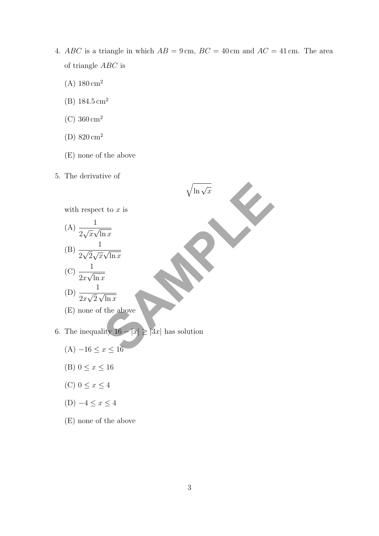4. ABC is a triangle in which  $AB = 9 \text{ cm}$ ,  $BC = 40 \text{ cm}$  and  $AC = 41 \text{ cm}$ . The area of triangle ABC is

 $\sqrt{\ln \sqrt{x}}$ 

- $(A) 180 \text{ cm}^2$
- (B)  $184.5 \text{ cm}^2$
- (C)  $360 \text{ cm}^2$
- (D) 820 cm<sup>2</sup>
- (E) none of the above
- 5. The derivative of



(C) 
$$
\frac{1}{2x\sqrt{\ln x}}
$$
  
(D) 
$$
\frac{1}{\sqrt{5}} = \sqrt{\frac{1}{2}}
$$

(D) 
$$
\frac{1}{2x\sqrt{2}\sqrt{\ln x}}
$$

(E) none of the above

- 6. The inequality  $16 |x| \ge |3x|$  has solution
	- (A)  $-16 ≤ x ≤ 16$
	- (B)  $0 \le x \le 16$
	- (C)  $0 \leq x \leq 4$
	- (D)  $-4 \le x \le 4$
	- (E) none of the above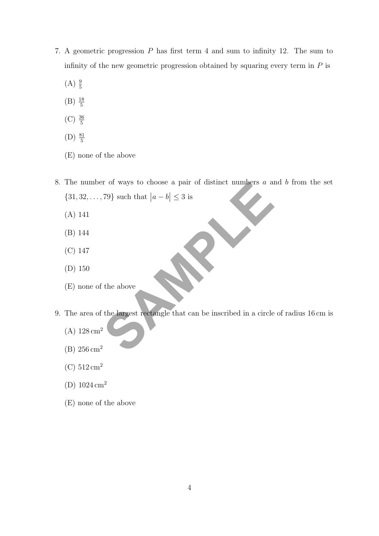- 7. A geometric progression P has first term 4 and sum to infinity 12. The sum to infinity of the new geometric progression obtained by squaring every term in  $P$  is
	- $(A) \frac{9}{5}$
	- $(B) \frac{18}{5}$
	- $(C) \frac{36}{5}$
	- (D)  $\frac{81}{5}$
	- (E) none of the above
- The state of the data of  $|a b| \leq 3$  is<br>  $\frac{1}{2}$  is the above  $\frac{1}{2}$  is the above  $\frac{1}{2}$  is the largest rectangle that can be inscribed in a circle  $\frac{1}{2}$ . 8. The number of ways to choose a pair of distinct numbers  $a$  and  $b$  from the set  $\{31, 32, \ldots, 79\}$  such that  $|a - b| \leq 3$  is
	- (A) 141
	- (B) 144
	- (C) 147
	- (D) 150
	- (E) none of the above
- 9. The area of the largest rectangle that can be inscribed in a circle of radius 16 cm is
	- $(A) 128 \text{ cm}^2$
	- (B) 256 cm<sup>2</sup>
	- (C)  $512 \text{ cm}^2$
	- (D)  $1024 \text{ cm}^2$
	- (E) none of the above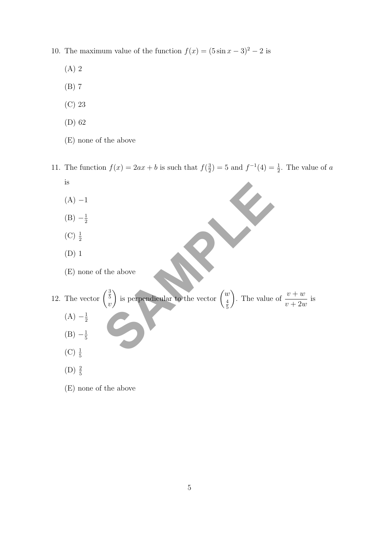- 10. The maximum value of the function  $f(x) = (5 \sin x 3)^2 2$  is
	- (A) 2
	- (B) 7
	- (C) 23
	- (D) 62
	- (E) none of the above
- 11. The function  $f(x) = 2ax + b$  is such that  $f(\frac{3}{2})$  $(\frac{3}{2}) = 5$  and  $f^{-1}(4) = \frac{1}{2}$ . The value of a is
	- $(A) -1$
	- $(B) -\frac{1}{2}$ 2
	- $(C) \frac{1}{2}$
	- (D) 1
	- (E) none of the above
- the above  $\begin{pmatrix} \frac{3}{5} \\ v \end{pmatrix}$  is perpendicular to the vector  $\begin{pmatrix} w \\ \frac{4}{5} \end{pmatrix}$ . The value 12. The vector  $\binom{\frac{3}{5}}{5}$  $\overline{v}$ is perpendicular to the vector  $\begin{pmatrix} w \\ 4 \end{pmatrix}$ 4 5 ). The value of  $\frac{v+w}{\sqrt{2}}$  $v + 2w$ is
	- $(A) -\frac{1}{2}$ 2
	- $(B) -\frac{1}{5}$ 5
	- $(C) \frac{1}{5}$
	- $(D) \frac{2}{5}$
	- (E) none of the above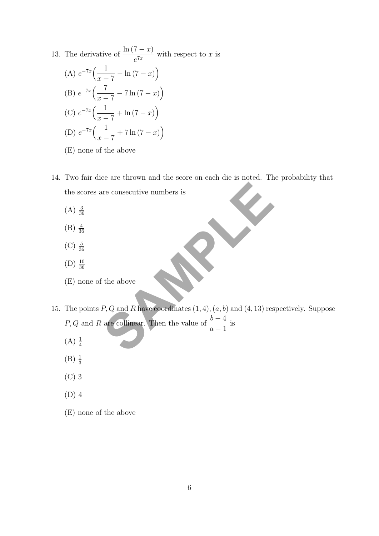- 13. The derivative of  $\frac{\ln (7 x)}{7x}$  $\frac{1}{e^{7x}}$  with respect to x is (A)  $e^{-7x}$   $\left( \frac{1}{2} \right)$  $x - 7$  $-\ln(7-x)$ (B)  $e^{-7x}$   $\left( \frac{7}{2} \right)$  $x - 7$  $-7\ln(7-x)$ (C)  $e^{-7x}$   $\left( \frac{1}{2} \right)$  $x - 7$  $+\ln(7-x)\right)$ (D)  $e^{-7x}$   $\left( \frac{1}{\cdots} \right)$  $x - 7$  $+ 7 \ln (7 - x)$ (E) none of the above
- 14. Two fair dice are thrown and the score on each die is noted. The probability that the scores are consecutive numbers is
	- $(A) \frac{3}{36}$
	- $(B) \frac{4}{36}$
	- $(C) \frac{5}{36}$
	- $(D) \frac{10}{36}$
	- (E) none of the above
- The above the above  $P, Q$  and  $R$  have coordinates  $(1, 4), (a, b)$  and  $(4, 13)$  respectively. Then the value of  $\frac{b-4}{a-1}$  is 15. The points  $P, Q$  and  $R$  have coordinates  $(1, 4), (a, b)$  and  $(4, 13)$  respectively. Suppose P, Q and R are collinear. Then the value of  $\frac{b-4}{1}$  $a-1$ is
	- $(A) \frac{1}{4}$
	- $(B) \frac{1}{3}$
	- (C) 3
	- (D) 4
	- (E) none of the above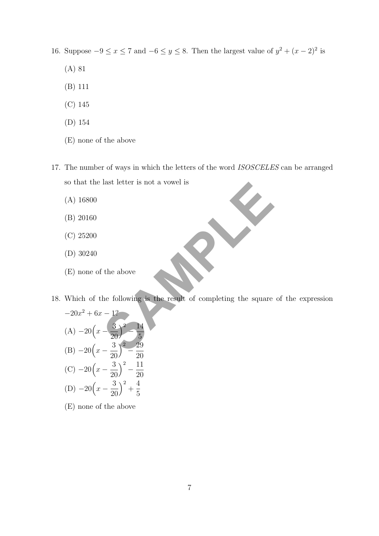16. Suppose  $-9 \le x \le 7$  and  $-6 \le y \le 8$ . Then the largest value of  $y^2 + (x-2)^2$  is

- (A) 81
- (B) 111
- (C) 145
- (D) 154
- (E) none of the above
- 17. The number of ways in which the letters of the word ISOSCELES can be arranged so that the last letter is not a vowel is
	- (A) 16800
	- (B) 20160
	- (C) 25200
	- (D) 30240
	- (E) none of the above
- 18. Which of the following is the result of completing the square of the expression

so that the last letter is not a vowel is  
\n(A) 16800  
\n(B) 20160  
\n(C) 25200  
\n(D) 30240  
\n(E) none of the above  
\nWhich of the following is the result of completing the square  
\n
$$
-20x^2 + 6x - 12
$$
  
\n(A)  $-20\left(x - \frac{3}{20}\right)^2 - \frac{14}{5}$   
\n(B)  $-20\left(x - \frac{3}{20}\right)^2 - \frac{29}{20}$   
\n(C)  $-20\left(x - \frac{3}{20}\right)^2 - \frac{11}{20}$   
\n(D)  $-20\left(x - \frac{3}{20}\right)^2 + \frac{4}{5}$ 

(E) none of the above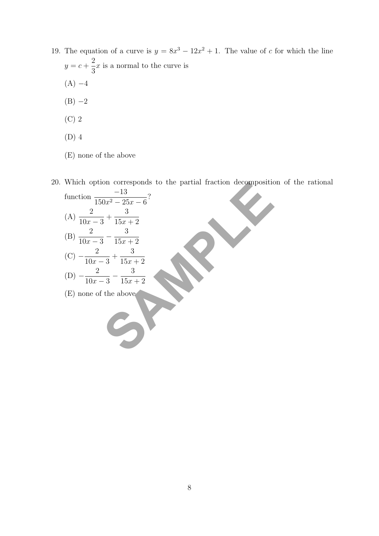- 19. The equation of a curve is  $y = 8x^3 12x^2 + 1$ . The value of c for which the line  $y = c +$ 2 3  $x$  is a normal to the curve is  $(A) -4$ 
	- $(B) -2$
	- (C) 2
	- (D) 4
	- (E) none of the above

20. Which option corresponds to the partial fraction decomposition of the rational

| function $\frac{-13}{150x^2 - 25x - 6}$ ? |                                                                                    |  |                                                                |
|-------------------------------------------|------------------------------------------------------------------------------------|--|----------------------------------------------------------------|
|                                           |                                                                                    |  |                                                                |
|                                           |                                                                                    |  |                                                                |
| (C) $-\frac{2}{10x-3} + \frac{3}{15x+2}$  |                                                                                    |  |                                                                |
| $-\frac{2}{10x-3}-\frac{3}{15x+2}$        |                                                                                    |  |                                                                |
| (E) none of the above                     |                                                                                    |  |                                                                |
|                                           | (A) $\frac{2}{10x-3} + \frac{3}{15x+2}$<br>(B) $\frac{2}{10x-3} - \frac{3}{15x+2}$ |  | which option corresponds to the partial fraction decomposition |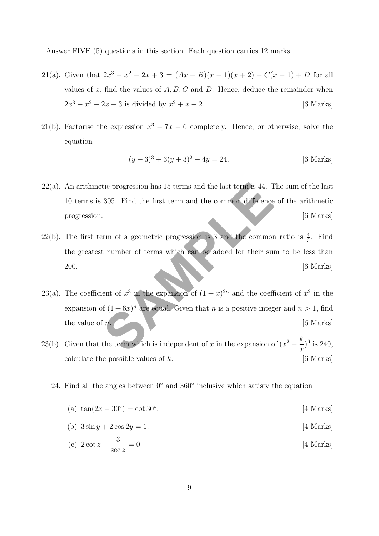Answer FIVE (5) questions in this section. Each question carries 12 marks.

- 21(a). Given that  $2x^3 x^2 2x + 3 = (Ax + B)(x 1)(x + 2) + C(x 1) + D$  for all values of x, find the values of  $A, B, C$  and D. Hence, deduce the remainder when  $2x^3 - x^2 - 2x + 3$  is divided by  $x^2 + x - 2$ . [6 Marks]
- 21(b). Factorise the expression  $x^3 7x 6$  completely. Hence, or otherwise, solve the equation

$$
(y+3)^3 + 3(y+3)^2 - 4y = 24.
$$
 [6 Marks]

- $22(a)$ . An arithmetic progression has 15 terms and the last term is 44. The sum of the last 10 terms is 305. Find the first term and the common difference of the arithmetic progression. [6 Marks]
- 22(b). The first term of a geometric progression is 3 and the common ratio is  $\frac{4}{3}$ . Find the greatest number of terms which can be added for their sum to be less than  $200.$  [6 Marks]
- tic progression has 15 terms and the last term is 44. T<br>305. Find the first term and the common difference<br>Firm of a geometric progression is 3 and the common<br>t number of terms which can be added for their sum<br>ent of  $x^3$ 23(a). The coefficient of  $x^3$  in the expansion of  $(1+x)^{2n}$  and the coefficient of  $x^2$  in the expansion of  $(1+6x)^n$  are equal. Given that n is a positive integer and  $n > 1$ , find the value of  $n.$  [6 Marks]
- 23(b). Given that the term which is independent of x in the expansion of  $(x^2 + \frac{k}{x})$  $\boldsymbol{x}$  $)^{6}$  is 240, calculate the possible values of  $k$ . [6 Marks]
	- 24. Find all the angles between 0◦ and 360◦ inclusive which satisfy the equation
		- (a)  $\tan(2x 30^{\circ}) = \cot 30^{\circ}$ [4 Marks]
		- (b)  $3 \sin y + 2 \cos 2y = 1$ . [4 Marks]
		- (c)  $2 \cot z \frac{3}{2}$ sec z [4 Marks]